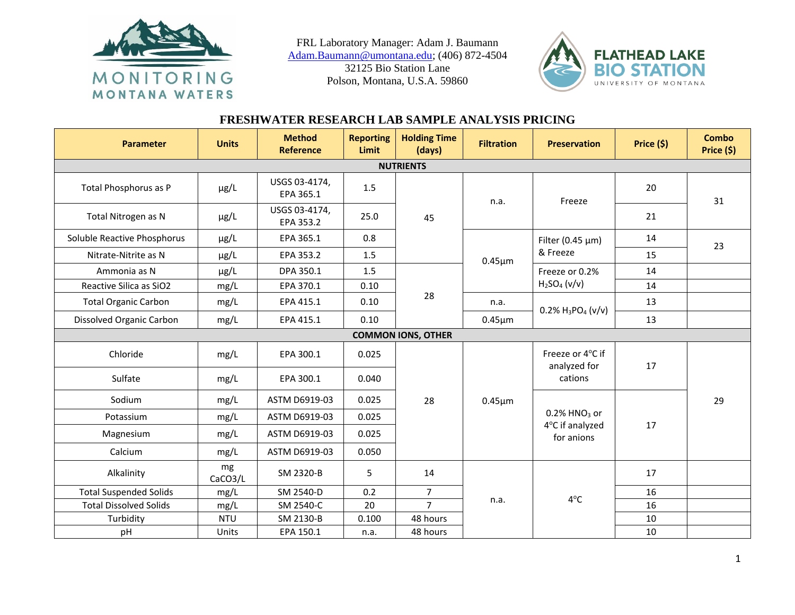

FRL Laboratory Manager: Adam J. Baumann [Adam.B](mailto:Adam.)aumann@umontana.edu; (406) 872-4504 32125 Bio Station Lane

Polson, Montana, U.S.A. 59860



## **FRESHWATER RESEARCH LAB SAMPLE ANALYSIS PRICING**

| <b>Parameter</b>              | <b>Units</b>  | <b>Method</b><br><b>Reference</b> | <b>Reporting</b><br><b>Limit</b> | <b>Holding Time</b><br>(days)                                          | <b>Filtration</b> | <b>Preservation</b>                                          | Price $(5)$ | <b>Combo</b><br>Price (\$) |
|-------------------------------|---------------|-----------------------------------|----------------------------------|------------------------------------------------------------------------|-------------------|--------------------------------------------------------------|-------------|----------------------------|
|                               |               |                                   |                                  | <b>NUTRIENTS</b>                                                       |                   |                                                              |             |                            |
| Total Phosphorus as P         | μg/L          | USGS 03-4174,<br>EPA 365.1        | 1.5                              |                                                                        | n.a.              | Freeze                                                       | 20          | 31                         |
| Total Nitrogen as N           | $\mu$ g/L     | USGS 03-4174,<br>EPA 353.2        | 25.0                             | 45                                                                     |                   |                                                              | 21          |                            |
| Soluble Reactive Phosphorus   | µg/L          | EPA 365.1                         | 0.8                              |                                                                        |                   | Filter (0.45 $\mu$ m)<br>& Freeze                            | 14          | 23                         |
| Nitrate-Nitrite as N          | $\mu$ g/L     | EPA 353.2                         | 1.5                              |                                                                        | $0.45 \mu m$      |                                                              | 15          |                            |
| Ammonia as N                  | $\mu$ g/L     | DPA 350.1                         | 1.5                              |                                                                        |                   | Freeze or 0.2%<br>$H_2SO_4 (v/v)$                            | 14          |                            |
| Reactive Silica as SiO2       | mg/L          | EPA 370.1                         | 0.10                             | 28                                                                     |                   |                                                              | 14          |                            |
| <b>Total Organic Carbon</b>   | mg/L          | EPA 415.1                         | 0.10                             |                                                                        | n.a.              | $0.2\%$ H <sub>3</sub> PO <sub>4</sub> (v/v)                 | 13          |                            |
| Dissolved Organic Carbon      | mg/L          | EPA 415.1                         | 0.10                             |                                                                        | $0.45 \mu m$      |                                                              | 13          |                            |
|                               |               |                                   |                                  | <b>COMMON IONS, OTHER</b>                                              |                   |                                                              |             |                            |
| Chloride                      | mg/L          | EPA 300.1                         | 0.025                            |                                                                        | $0.45 \mu m$      | Freeze or 4°C if<br>analyzed for<br>cations                  | 17          | 29                         |
| Sulfate                       | mg/L          | EPA 300.1                         | 0.040                            | 28                                                                     |                   |                                                              |             |                            |
| Sodium                        | mg/L          | ASTM D6919-03                     | 0.025                            |                                                                        |                   | $0.2\%$ HNO <sub>3</sub> or<br>4°C if analyzed<br>for anions | 17          |                            |
| Potassium                     | mg/L          | ASTM D6919-03                     | 0.025                            |                                                                        |                   |                                                              |             |                            |
| Magnesium                     | mg/L          | ASTM D6919-03                     | 0.025                            |                                                                        |                   |                                                              |             |                            |
| Calcium                       | mg/L          | ASTM D6919-03                     | 0.050                            |                                                                        |                   |                                                              |             |                            |
| Alkalinity                    | mg<br>CaCO3/L | SM 2320-B                         | 5                                | 14<br>$\overline{7}$<br>n.a.<br>$\overline{7}$<br>48 hours<br>48 hours |                   | $4^{\circ}$ C                                                | 17          |                            |
| <b>Total Suspended Solids</b> | mg/L          | SM 2540-D                         | 0.2                              |                                                                        |                   |                                                              | 16          |                            |
| <b>Total Dissolved Solids</b> | mg/L          | SM 2540-C                         | 20                               |                                                                        |                   |                                                              | 16          |                            |
| Turbidity                     | <b>NTU</b>    | SM 2130-B                         | 0.100                            |                                                                        |                   |                                                              | 10          |                            |
| pH                            | Units         | EPA 150.1                         | n.a.                             |                                                                        |                   |                                                              | 10          |                            |